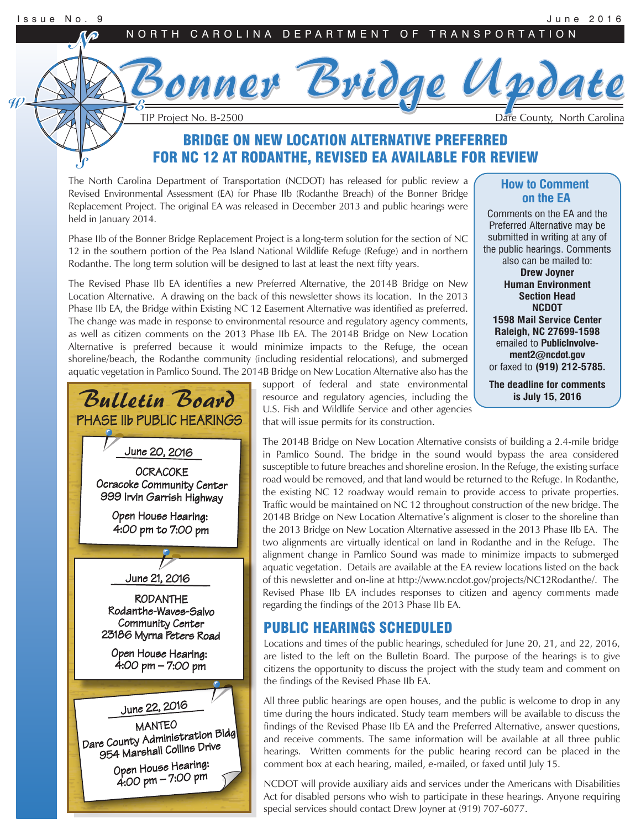Bonner Bridge Update Bonner Bridge Update TIP Project No. B-2500 Dare County, North Carolina

# BRIDGE ON NEW LOCATION ALTERNATIVE PREFERRED FOR NC 12 AT RODANTHE, REVISED EA AVAILABLE FOR REVIEW

The North Carolina Department of Transportation (NCDOT) has released for public review a Revised Environmental Assessment (EA) for Phase IIb (Rodanthe Breach) of the Bonner Bridge Replacement Project. The original EA was released in December 2013 and public hearings were held in January 2014.

Phase IIb of the Bonner Bridge Replacement Project is a long-term solution for the section of NC 12 in the southern portion of the Pea Island National Wildlife Refuge (Refuge) and in northern Rodanthe. The long term solution will be designed to last at least the next fifty years.

The Revised Phase IIb EA identifies a new Preferred Alternative, the 2014B Bridge on New Location Alternative. A drawing on the back of this newsletter shows its location. In the 2013 Phase IIb EA, the Bridge within Existing NC 12 Easement Alternative was identified as preferred. The change was made in response to environmental resource and regulatory agency comments, as well as citizen comments on the 2013 Phase IIb EA. The 2014B Bridge on New Location Alternative is preferred because it would minimize impacts to the Refuge, the ocean shoreline/beach, the Rodanthe community (including residential relocations), and submerged aquatic vegetation in Pamlico Sound. The 2014B Bridge on New Location Alternative also has the

> resource and regulatory agencies, including the U.S. Fish and Wildlife Service and other agencies that will issue permits for its construction.

#### **How to Comment on the EA**

Comments on the EA and the Preferred Alternative may be submitted in writing at any of the public hearings. Comments

also can be mailed to: **Drew Joyner Human Environment Section Head NCDOT 1598 Mail Service Center Raleigh, NC 27699-1598** emailed to **PublicInvolvement2@ncdot.gov** or faxed to **(919) 212-5785.**

**The deadline for comments is July 15, 2016**

Bulletin Board PHASE IIb PUBLIC HEARINGS RODANTHE Rodanthe-Waves-Salvo Community Center 23186 Myrna Peters Road Open House Hearing: 4:00 pm – 7:00 pm Dare County Administration Bldg 954 Marshall Collins Drive Open House Hearing: June 21, 2016 **OCRACOKE** Ocracoke Community Center 999 Irvin Garrish Highway Open House Hearing: 4:00 pm to 7:00 pm MANTEO June 22, 2016 June 20, 2016

4:00 pm – 7:00 pm

support of federal and state environmental

The 2014B Bridge on New Location Alternative consists of building a 2.4-mile bridge in Pamlico Sound. The bridge in the sound would bypass the area considered susceptible to future breaches and shoreline erosion. In the Refuge, the existing surface road would be removed, and that land would be returned to the Refuge. In Rodanthe, the existing NC 12 roadway would remain to provide access to private properties. Traffic would be maintained on NC 12 throughout construction of the new bridge. The 2014B Bridge on New Location Alternative's alignment is closer to the shoreline than the 2013 Bridge on New Location Alternative assessed in the 2013 Phase IIb EA. The two alignments are virtually identical on land in Rodanthe and in the Refuge. The alignment change in Pamlico Sound was made to minimize impacts to submerged aquatic vegetation. Details are available at the EA review locations listed on the back of this newsletter and on-line at http://www.ncdot.gov/projects/NC12Rodanthe/. The Revised Phase IIb EA includes responses to citizen and agency comments made regarding the findings of the 2013 Phase IIb EA.

# PUBLIC HEARINGS SCHEDULED

Locations and times of the public hearings, scheduled for June 20, 21, and 22, 2016, are listed to the left on the Bulletin Board. The purpose of the hearings is to give citizens the opportunity to discuss the project with the study team and comment on the findings of the Revised Phase IIb EA.

All three public hearings are open houses, and the public is welcome to drop in any time during the hours indicated. Study team members will be available to discuss the findings of the Revised Phase IIb EA and the Preferred Alternative, answer questions, and receive comments. The same information will be available at all three public hearings. Written comments for the public hearing record can be placed in the comment box at each hearing, mailed, e-mailed, or faxed until July 15.

NCDOT will provide auxiliary aids and services under the Americans with Disabilities Act for disabled persons who wish to participate in these hearings. Anyone requiring special services should contact Drew Joyner at (919) 707-6077.